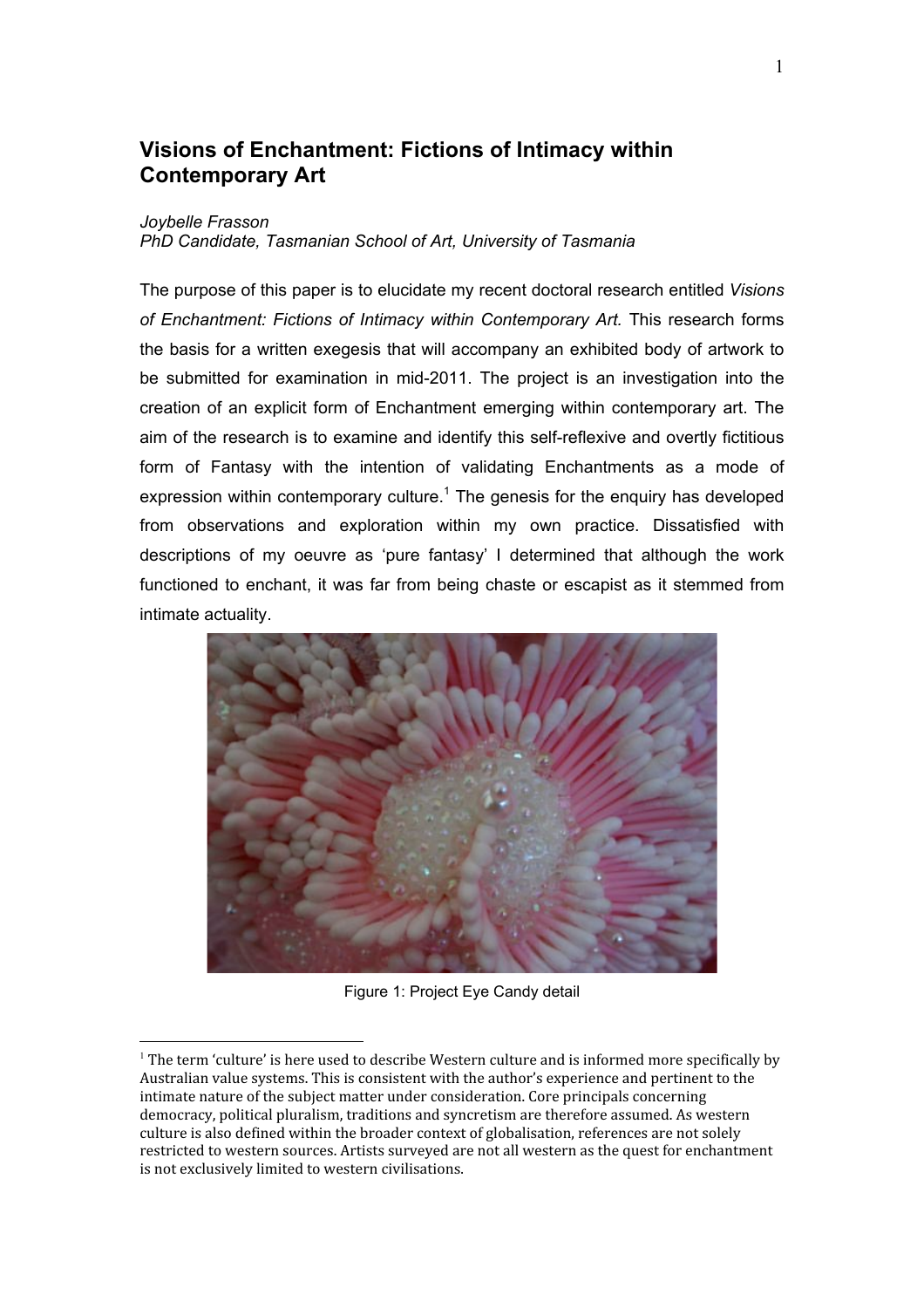# **Visions of Enchantment: Fictions of Intimacy within Contemporary Art**

#### Joybelle Frasson

PhD Candidate, Tasmanian School of Art, University of Tasmania

The purpose of this paper is to elucidate my recent doctoral research entitled Visions of Enchantment: Fictions of Intimacy within Contemporary Art. This research forms the basis for a written exegesis that will accompany an exhibited body of artwork to be submitted for examination in mid-2011. The project is an investigation into the creation of an explicit form of Enchantment emerging within contemporary art. The aim of the research is to examine and identify this self-reflexive and overtly fictitious form of Fantasy with the intention of validating Enchantments as a mode of expression within contemporary culture.<sup>1</sup> The genesis for the enquiry has developed from observations and exploration within my own practice. Dissatisfied with descriptions of my oeuvre as 'pure fantasy' I determined that although the work functioned to enchant, it was far from being chaste or escapist as it stemmed from intimate actuality.



Figure 1: Project Eye Candy detail

 $\frac{1}{2}$  The term 'culture' is here used to describe Western culture and is informed more specifically by Australian value systems. This is consistent with the author's experience and pertinent to the intimate nature of the subject matter under consideration. Core principals concerning democracy, political pluralism, traditions and syncretism are therefore assumed. As western culture is also defined within the broader context of globalisation, references are not solely restricted to western sources. Artists surveyed are not all western as the quest for enchantment is not exclusively limited to western civilisations.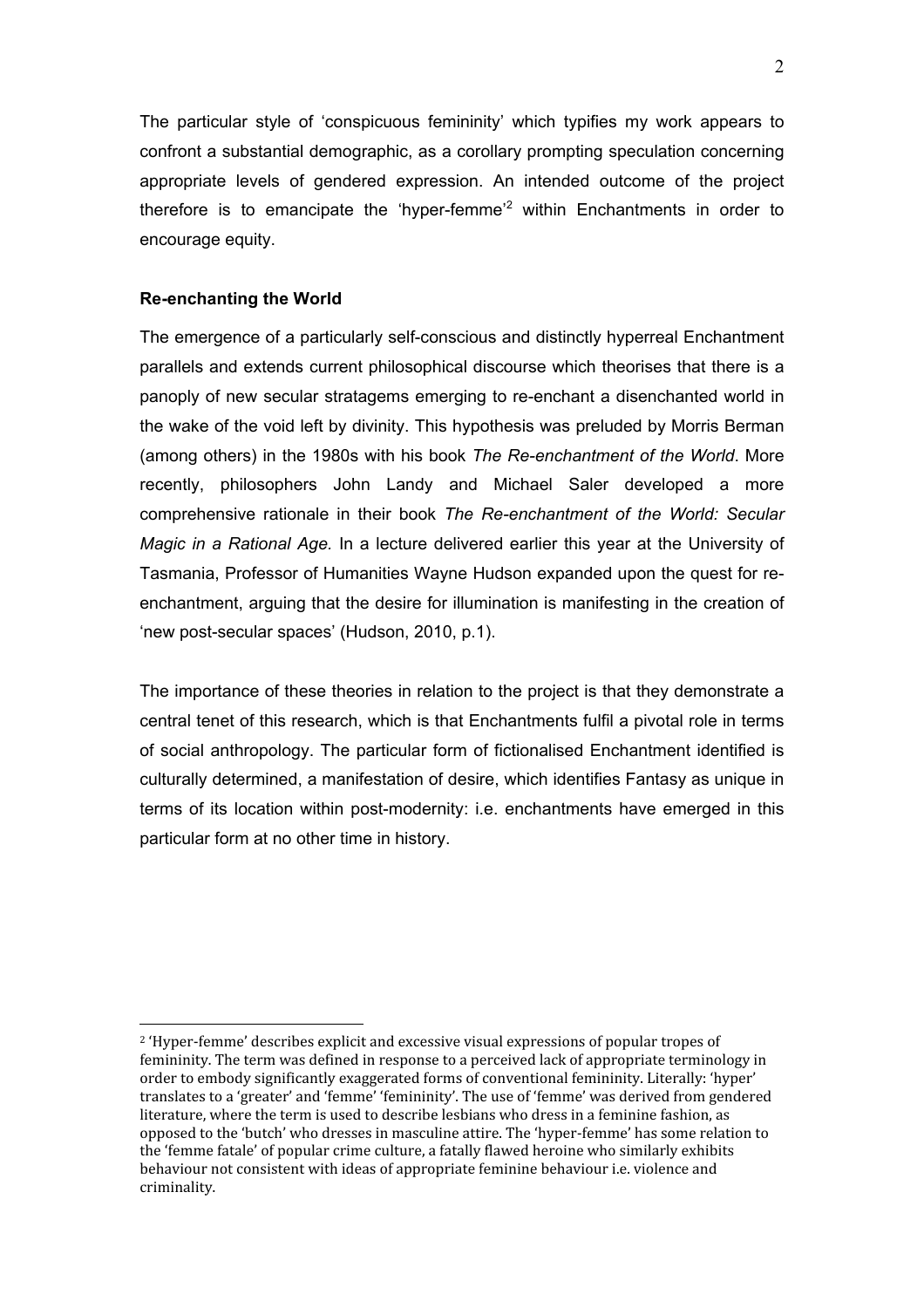The particular style of 'conspicuous femininity' which typifies my work appears to confront a substantial demographic, as a corollary prompting speculation concerning appropriate levels of gendered expression. An intended outcome of the project therefore is to emancipate the 'hyper-femme $i^2$  within Enchantments in order to encourage equity.

# **Re-enchanting the World**

 $\overline{a}$ 

The emergence of a particularly self-conscious and distinctly hyperreal Enchantment parallels and extends current philosophical discourse which theorises that there is a panoply of new secular stratagems emerging to re-enchant a disenchanted world in the wake of the void left by divinity. This hypothesis was preluded by Morris Berman (among others) in the 1980s with his book *The Re-enchantment of the World*. More recently, philosophers John Landy and Michael Saler developed a more comprehensive rationale in their book *The Re-enchantment of the World: Secular Magic in a Rational Age.* In a lecture delivered earlier this year at the University of Tasmania, Professor of Humanities Wayne Hudson expanded upon the quest for reenchantment, arguing that the desire for illumination is manifesting in the creation of 'new post-secular spaces' (Hudson, 2010, p.1).

The importance of these theories in relation to the project is that they demonstrate a central tenet of this research, which is that Enchantments fulfil a pivotal role in terms of social anthropology. The particular form of fictionalised Enchantment identified is culturally determined, a manifestation of desire, which identifies Fantasy as unique in terms of its location within post-modernity: i.e. enchantments have emerged in this particular form at no other time in history.

 $^2$  'Hyper-femme' describes explicit and excessive visual expressions of popular tropes of femininity. The term was defined in response to a perceived lack of appropriate terminology in order to embody significantly exaggerated forms of conventional femininity. Literally: 'hyper' translates to a 'greater' and 'femme' 'femininity'. The use of 'femme' was derived from gendered literature, where the term is used to describe lesbians who dress in a feminine fashion, as 0pposed to the 'butch' who dresses in masculine attire. The 'hyper-femme' has some relation to the 'femme fatale' of popular crime culture, a fatally flawed heroine who similarly exhibits behaviour not consistent with ideas of appropriate feminine behaviour *i.e.* violence and criminality.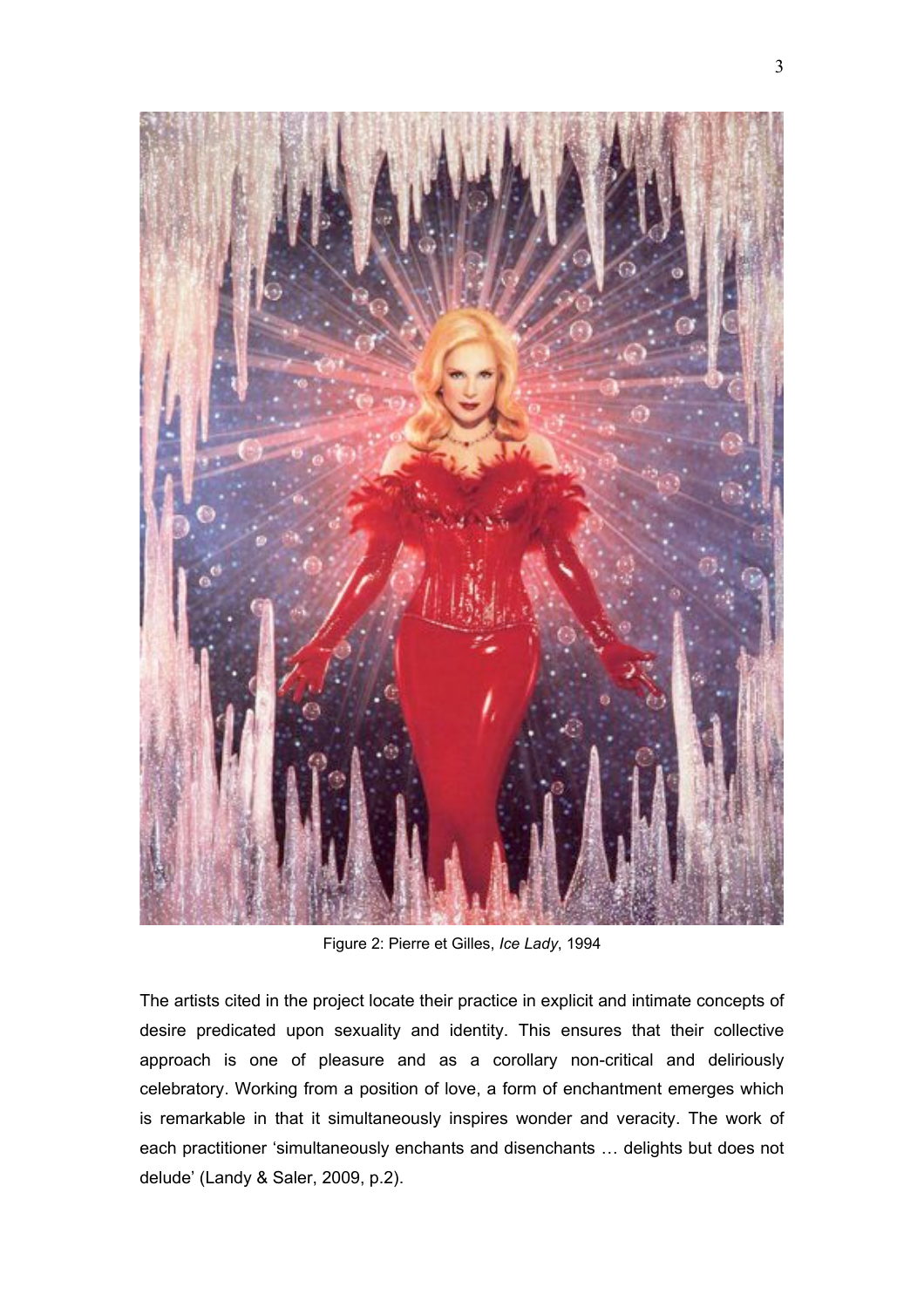

Figure 2: Pierre et Gilles, *Ice Lady*, 1994

The artists cited in the project locate their practice in explicit and intimate concepts of desire predicated upon sexuality and identity. This ensures that their collective approach is one of pleasure and as a corollary non-critical and deliriously celebratory. Working from a position of love, a form of enchantment emerges which is remarkable in that it simultaneously inspires wonder and veracity. The work of each practitioner 'simultaneously enchants and disenchants … delights but does not delude' (Landy & Saler, 2009, p.2).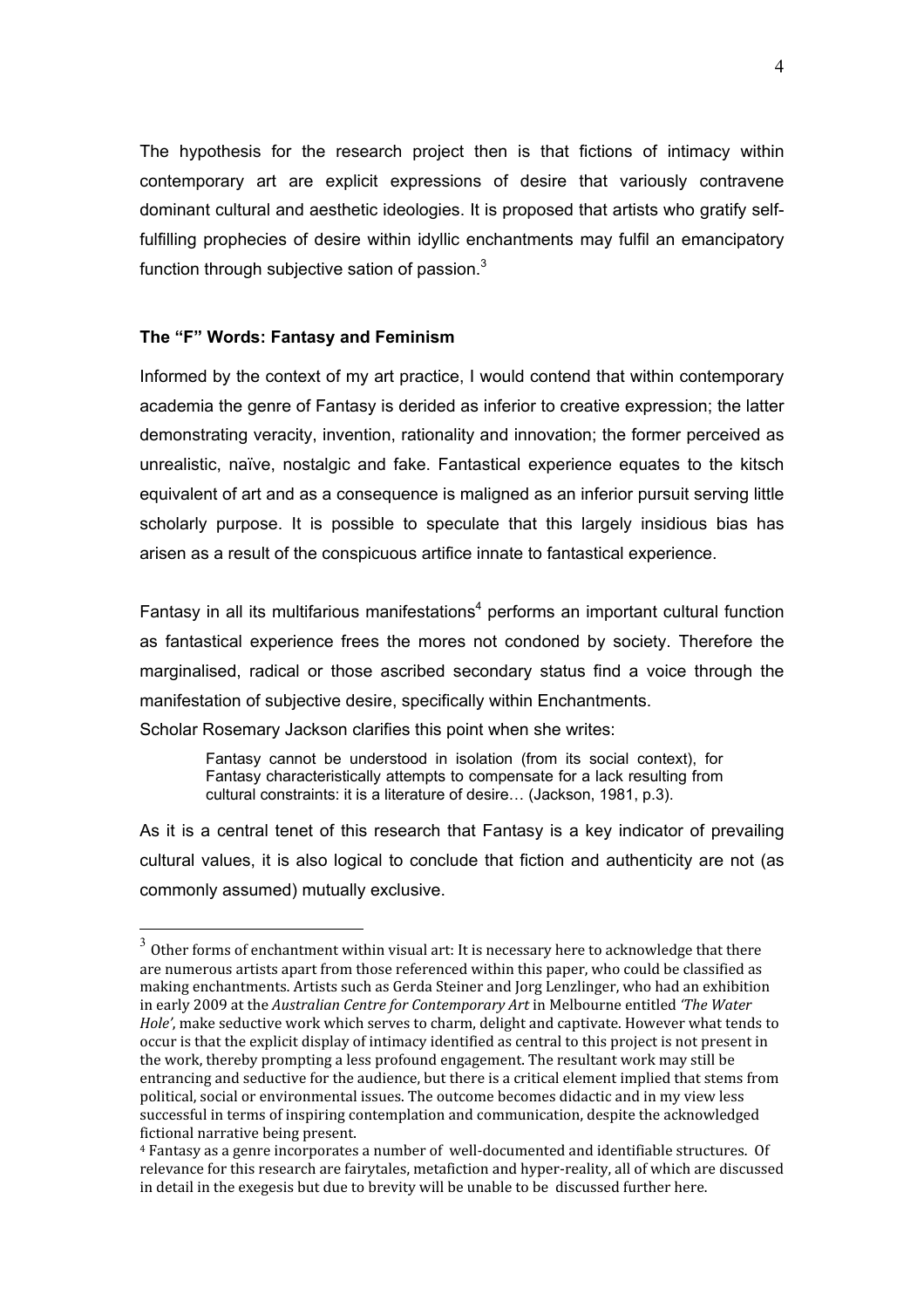The hypothesis for the research project then is that fictions of intimacy within contemporary art are explicit expressions of desire that variously contravene dominant cultural and aesthetic ideologies. It is proposed that artists who gratify selffulfilling prophecies of desire within idyllic enchantments may fulfil an emancipatory function through subjective sation of passion.<sup>3</sup>

## The "F" Words: Fantasy and Feminism

Informed by the context of my art practice, I would contend that within contemporary academia the genre of Fantasy is derided as inferior to creative expression; the latter demonstrating veracity, invention, rationality and innovation; the former perceived as unrealistic, naïve, nostalgic and fake. Fantastical experience equates to the kitsch equivalent of art and as a consequence is maligned as an inferior pursuit serving little scholarly purpose. It is possible to speculate that this largely insidious bias has arisen as a result of the conspicuous artifice innate to fantastical experience.

Fantasy in all its multifarious manifestations<sup>4</sup> performs an important cultural function as fantastical experience frees the mores not condoned by society. Therefore the marginalised, radical or those ascribed secondary status find a voice through the manifestation of subjective desire, specifically within Enchantments.

Scholar Rosemary Jackson clarifies this point when she writes:

Fantasy cannot be understood in isolation (from its social context), for Fantasy characteristically attempts to compensate for a lack resulting from cultural constraints: it is a literature of desire... (Jackson, 1981, p.3).

As it is a central tenet of this research that Fantasy is a key indicator of prevailing cultural values, it is also logical to conclude that fiction and authenticity are not (as commonly assumed) mutually exclusive.

 $3$  Other forms of enchantment within visual art: It is necessary here to acknowledge that there are numerous artists apart from those referenced within this paper, who could be classified as making enchantments. Artists such as Gerda Steiner and Jorg Lenzlinger, who had an exhibition in early 2009 at the Australian Centre for Contemporary Art in Melbourne entitled 'The Water Hole', make seductive work which serves to charm, delight and captivate. However what tends to occur is that the explicit display of intimacy identified as central to this project is not present in the work, thereby prompting a less profound engagement. The resultant work may still be entrancing and seductive for the audience, but there is a critical element implied that stems from political, social or environmental issues. The outcome becomes didactic and in my view less successful in terms of inspiring contemplation and communication, despite the acknowledged fictional narrative being present.

<sup>&</sup>lt;sup>4</sup> Fantasy as a genre incorporates a number of well-documented and identifiable structures. Of relevance for this research are fairytales, metafiction and hyper-reality, all of which are discussed in detail in the exegesis but due to brevity will be unable to be discussed further here.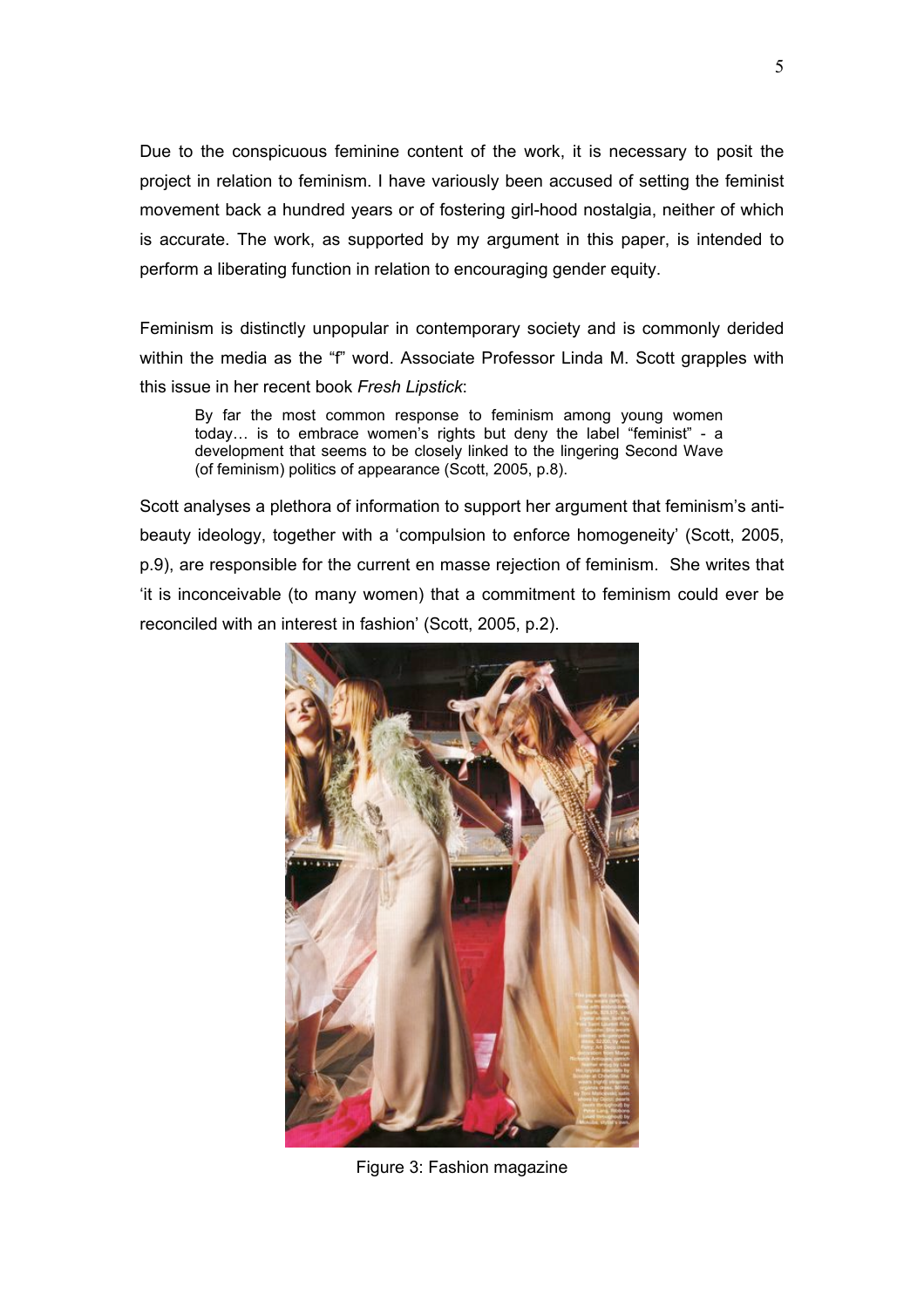Due to the conspicuous feminine content of the work, it is necessary to posit the project in relation to feminism. I have variously been accused of setting the feminist movement back a hundred years or of fostering girl-hood nostalgia, neither of which is accurate. The work, as supported by my argument in this paper, is intended to perform a liberating function in relation to encouraging gender equity.

Feminism is distinctly unpopular in contemporary society and is commonly derided within the media as the "f" word. Associate Professor Linda M. Scott grapples with this issue in her recent book *Fresh Lipstick*:

By far the most common response to feminism among young women today… is to embrace women's rights but deny the label "feminist" - a development that seems to be closely linked to the lingering Second Wave (of feminism) politics of appearance (Scott, 2005, p.8).

Scott analyses a plethora of information to support her argument that feminism's antibeauty ideology, together with a 'compulsion to enforce homogeneity' (Scott, 2005, p.9), are responsible for the current en masse rejection of feminism. She writes that 'it is inconceivable (to many women) that a commitment to feminism could ever be reconciled with an interest in fashion' (Scott, 2005, p.2).



Figure 3: Fashion magazine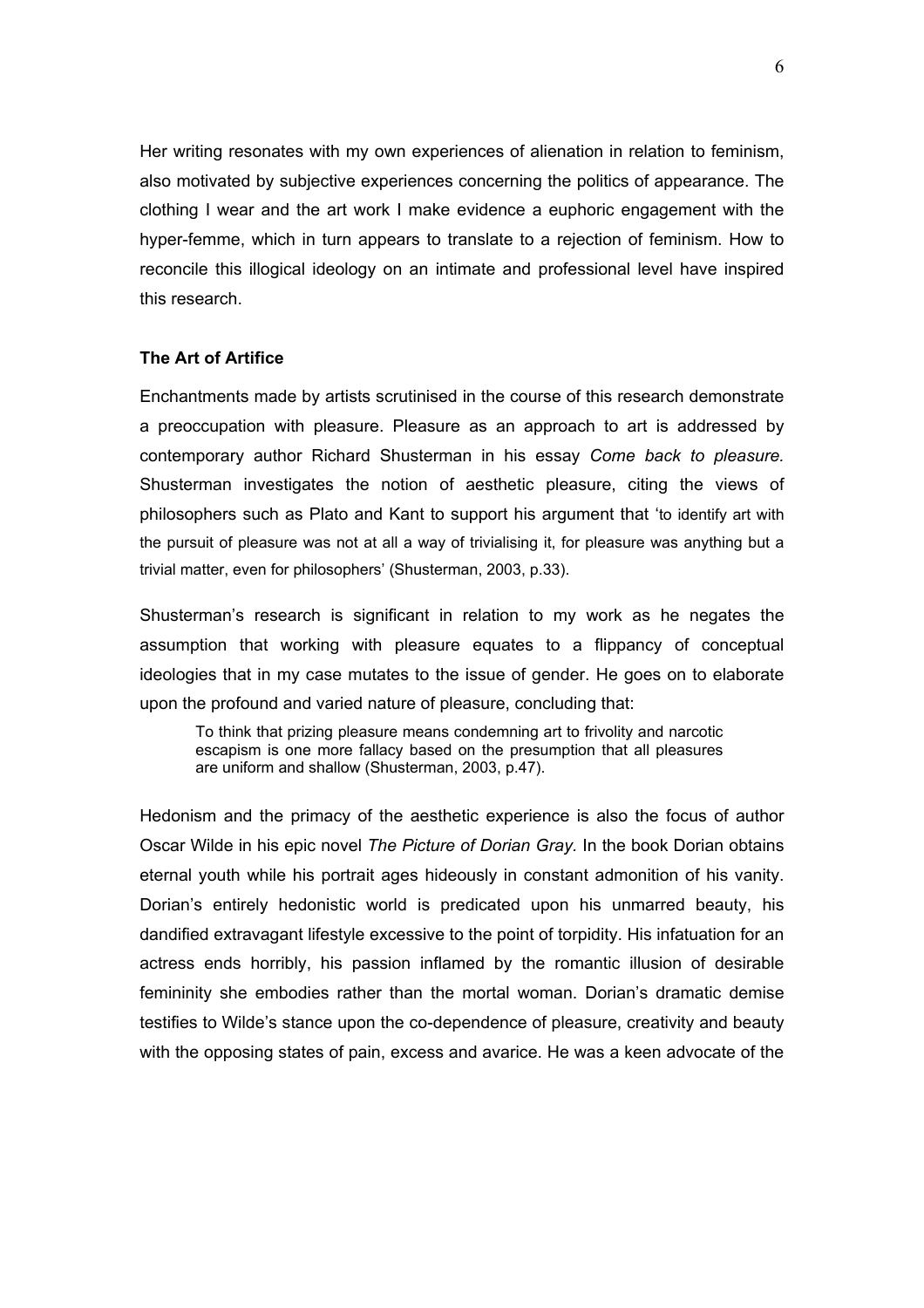Her writing resonates with my own experiences of alienation in relation to feminism, also motivated by subjective experiences concerning the politics of appearance. The clothing I wear and the art work I make evidence a euphoric engagement with the hyper-femme, which in turn appears to translate to a rejection of feminism. How to reconcile this illogical ideology on an intimate and professional level have inspired this research.

## **The Art of Artifice**

Enchantments made by artists scrutinised in the course of this research demonstrate a preoccupation with pleasure. Pleasure as an approach to art is addressed by contemporary author Richard Shusterman in his essay *Come back to pleasure.*  Shusterman investigates the notion of aesthetic pleasure, citing the views of philosophers such as Plato and Kant to support his argument that 'to identify art with the pursuit of pleasure was not at all a way of trivialising it, for pleasure was anything but a trivial matter, even for philosophers' (Shusterman, 2003, p.33).

Shusterman's research is significant in relation to my work as he negates the assumption that working with pleasure equates to a flippancy of conceptual ideologies that in my case mutates to the issue of gender. He goes on to elaborate upon the profound and varied nature of pleasure, concluding that:

To think that prizing pleasure means condemning art to frivolity and narcotic escapism is one more fallacy based on the presumption that all pleasures are uniform and shallow (Shusterman, 2003, p.47).

Hedonism and the primacy of the aesthetic experience is also the focus of author Oscar Wilde in his epic novel *The Picture of Dorian Gray.* In the book Dorian obtains eternal youth while his portrait ages hideously in constant admonition of his vanity. Dorian's entirely hedonistic world is predicated upon his unmarred beauty, his dandified extravagant lifestyle excessive to the point of torpidity. His infatuation for an actress ends horribly, his passion inflamed by the romantic illusion of desirable femininity she embodies rather than the mortal woman. Dorian's dramatic demise testifies to Wilde's stance upon the co-dependence of pleasure, creativity and beauty with the opposing states of pain, excess and avarice. He was a keen advocate of the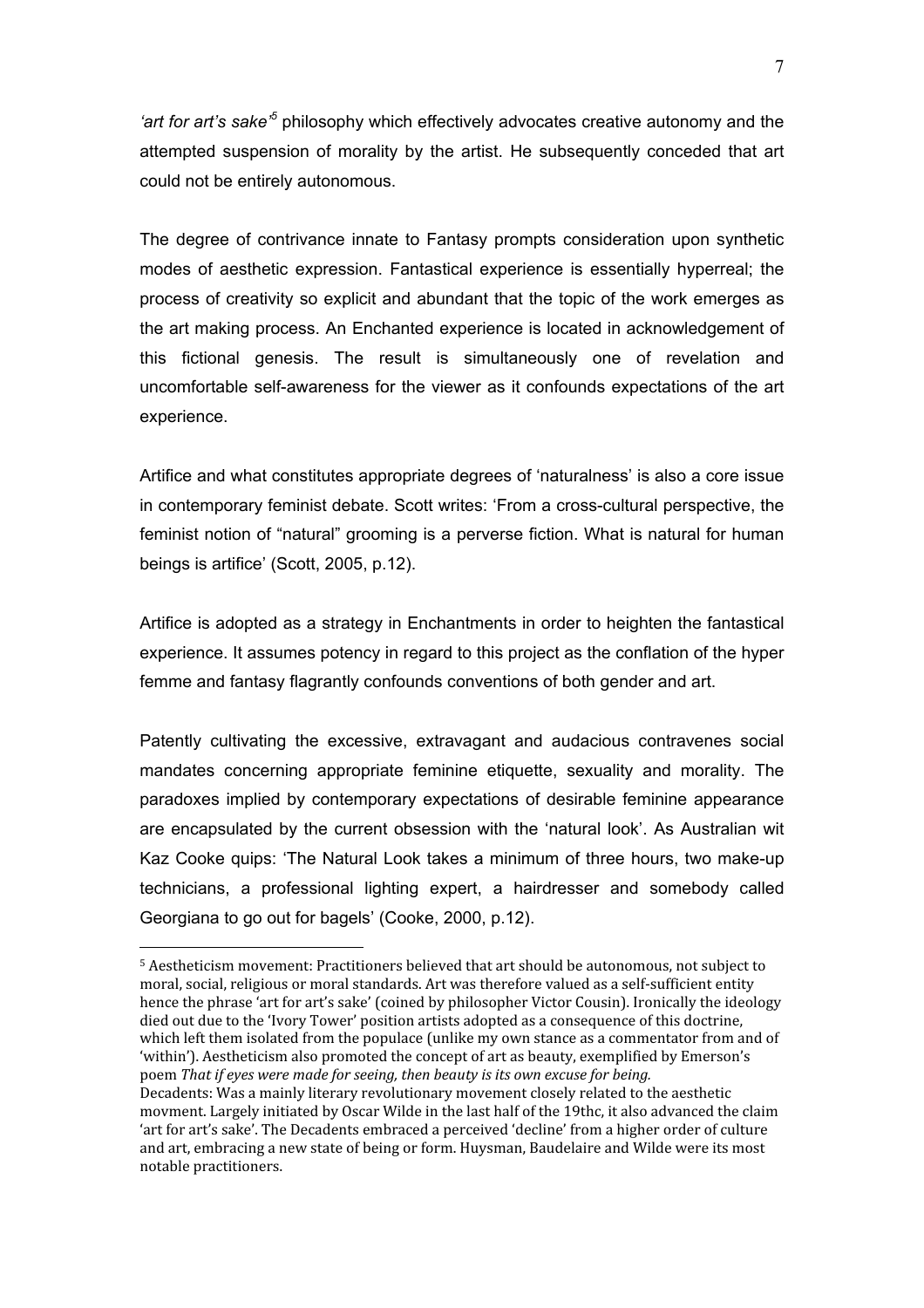*'art for art's sake'<sup>5</sup>* philosophy which effectively advocates creative autonomy and the attempted suspension of morality by the artist. He subsequently conceded that art could not be entirely autonomous.

The degree of contrivance innate to Fantasy prompts consideration upon synthetic modes of aesthetic expression. Fantastical experience is essentially hyperreal; the process of creativity so explicit and abundant that the topic of the work emerges as the art making process. An Enchanted experience is located in acknowledgement of this fictional genesis. The result is simultaneously one of revelation and uncomfortable self-awareness for the viewer as it confounds expectations of the art experience.

Artifice and what constitutes appropriate degrees of 'naturalness' is also a core issue in contemporary feminist debate. Scott writes: 'From a cross-cultural perspective, the feminist notion of "natural" grooming is a perverse fiction. What is natural for human beings is artifice' (Scott, 2005, p.12).

Artifice is adopted as a strategy in Enchantments in order to heighten the fantastical experience. It assumes potency in regard to this project as the conflation of the hyper femme and fantasy flagrantly confounds conventions of both gender and art.

Patently cultivating the excessive, extravagant and audacious contravenes social mandates concerning appropriate feminine etiquette, sexuality and morality. The paradoxes implied by contemporary expectations of desirable feminine appearance are encapsulated by the current obsession with the 'natural look'. As Australian wit Kaz Cooke quips: 'The Natural Look takes a minimum of three hours, two make-up technicians, a professional lighting expert, a hairdresser and somebody called Georgiana to go out for bagels' (Cooke, 2000, p.12).

 $\overline{a}$ 5 Aestheticism movement: Practitioners believed that art should be autonomous, not subject to moral, social, religious or moral standards. Art was therefore valued as a self-sufficient entity hence the phrase 'art for art's sake' (coined by philosopher Victor Cousin). Ironically the ideology died out due to the 'Ivory Tower' position artists adopted as a consequence of this doctrine, which left them isolated from the populace (unlike my own stance as a commentator from and of 'within'). Aestheticism also promoted the concept of art as beauty, exemplified by Emerson's poem That if eyes were made for seeing, then beauty is its own excuse for being. Decadents: Was a mainly literary revolutionary movement closely related to the aesthetic movment. Largely initiated by Oscar Wilde in the last half of the 19thc, it also advanced the claim 'art for art's sake'. The Decadents embraced a perceived 'decline' from a higher order of culture and art, embracing a new state of being or form. Huysman, Baudelaire and Wilde were its most notable practitioners.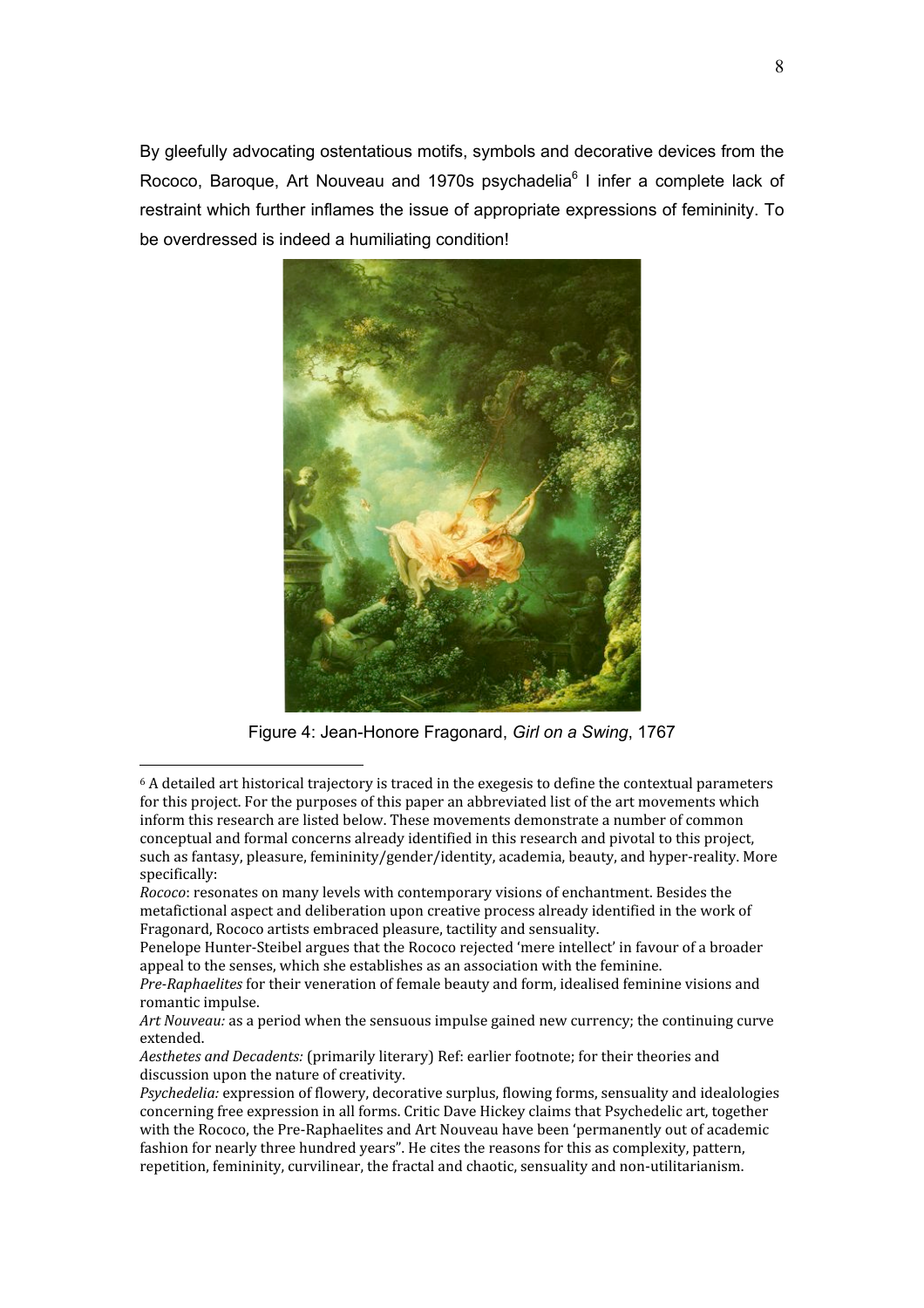By gleefully advocating ostentatious motifs, symbols and decorative devices from the Rococo. Baroque. Art Nouveau and 1970s psychadelia<sup>6</sup> I infer a complete lack of restraint which further inflames the issue of appropriate expressions of femininity. To be overdressed is indeed a humiliating condition!



Figure 4: Jean-Honore Fragonard, Girl on a Swing, 1767

<sup>&</sup>lt;sup>6</sup> A detailed art historical trajectory is traced in the exegesis to define the contextual parameters for this project. For the purposes of this paper an abbreviated list of the art movements which inform this research are listed below. These movements demonstrate a number of common conceptual and formal concerns already identified in this research and pivotal to this project, such as fantasy, pleasure, femininity/gender/identity, academia, beauty, and hyper-reality. More specifically:

Rococo: resonates on many levels with contemporary visions of enchantment. Besides the metafictional aspect and deliberation upon creative process already identified in the work of Fragonard, Rococo artists embraced pleasure, tactility and sensuality.

Penelope Hunter-Steibel argues that the Rococo rejected 'mere intellect' in favour of a broader appeal to the senses, which she establishes as an association with the feminine.

Pre-Raphaelites for their veneration of female beauty and form, idealised feminine visions and romantic impulse.

Art Nouveau: as a period when the sensuous impulse gained new currency; the continuing curve extended.

Aesthetes and Decadents: (primarily literary) Ref: earlier footnote; for their theories and discussion upon the nature of creativity.

Psychedelia: expression of flowery, decorative surplus, flowing forms, sensuality and idealologies concerning free expression in all forms. Critic Dave Hickey claims that Psychedelic art, together with the Rococo, the Pre-Raphaelites and Art Nouveau have been 'permanently out of academic fashion for nearly three hundred years". He cites the reasons for this as complexity, pattern, repetition, femininity, curvilinear, the fractal and chaotic, sensuality and non-utilitarianism.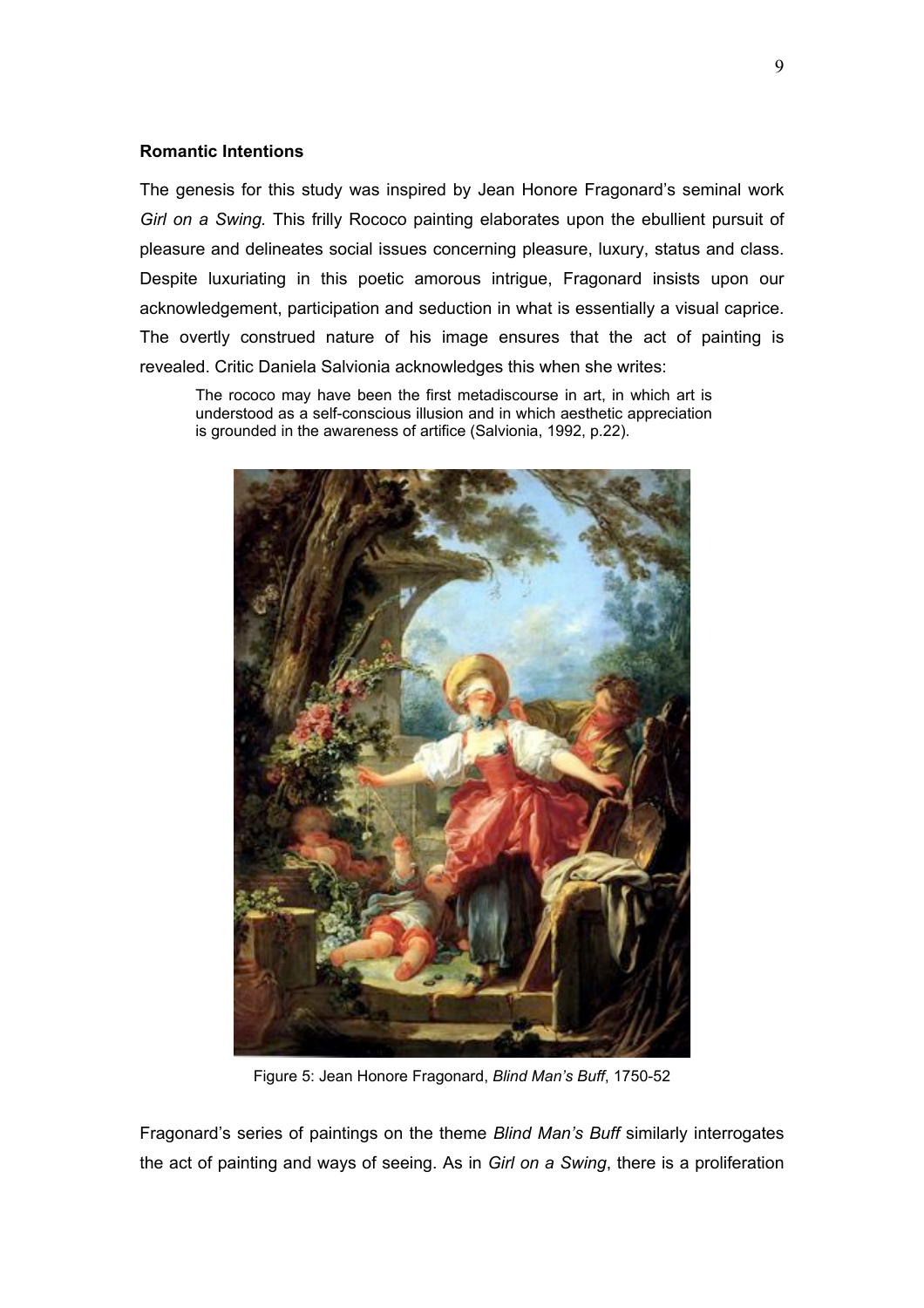# **Romantic Intentions**

The genesis for this study was inspired by Jean Honore Fragonard's seminal work *Girl on a Swing.* This frilly Rococo painting elaborates upon the ebullient pursuit of pleasure and delineates social issues concerning pleasure, luxury, status and class. Despite luxuriating in this poetic amorous intrigue, Fragonard insists upon our acknowledgement, participation and seduction in what is essentially a visual caprice. The overtly construed nature of his image ensures that the act of painting is revealed. Critic Daniela Salvionia acknowledges this when she writes:

The rococo may have been the first metadiscourse in art, in which art is understood as a self-conscious illusion and in which aesthetic appreciation is grounded in the awareness of artifice (Salvionia, 1992, p.22).



Figure 5: Jean Honore Fragonard, *Blind Man's Buff*, 1750-52

Fragonard's series of paintings on the theme *Blind Man's Buff* similarly interrogates the act of painting and ways of seeing. As in *Girl on a Swing*, there is a proliferation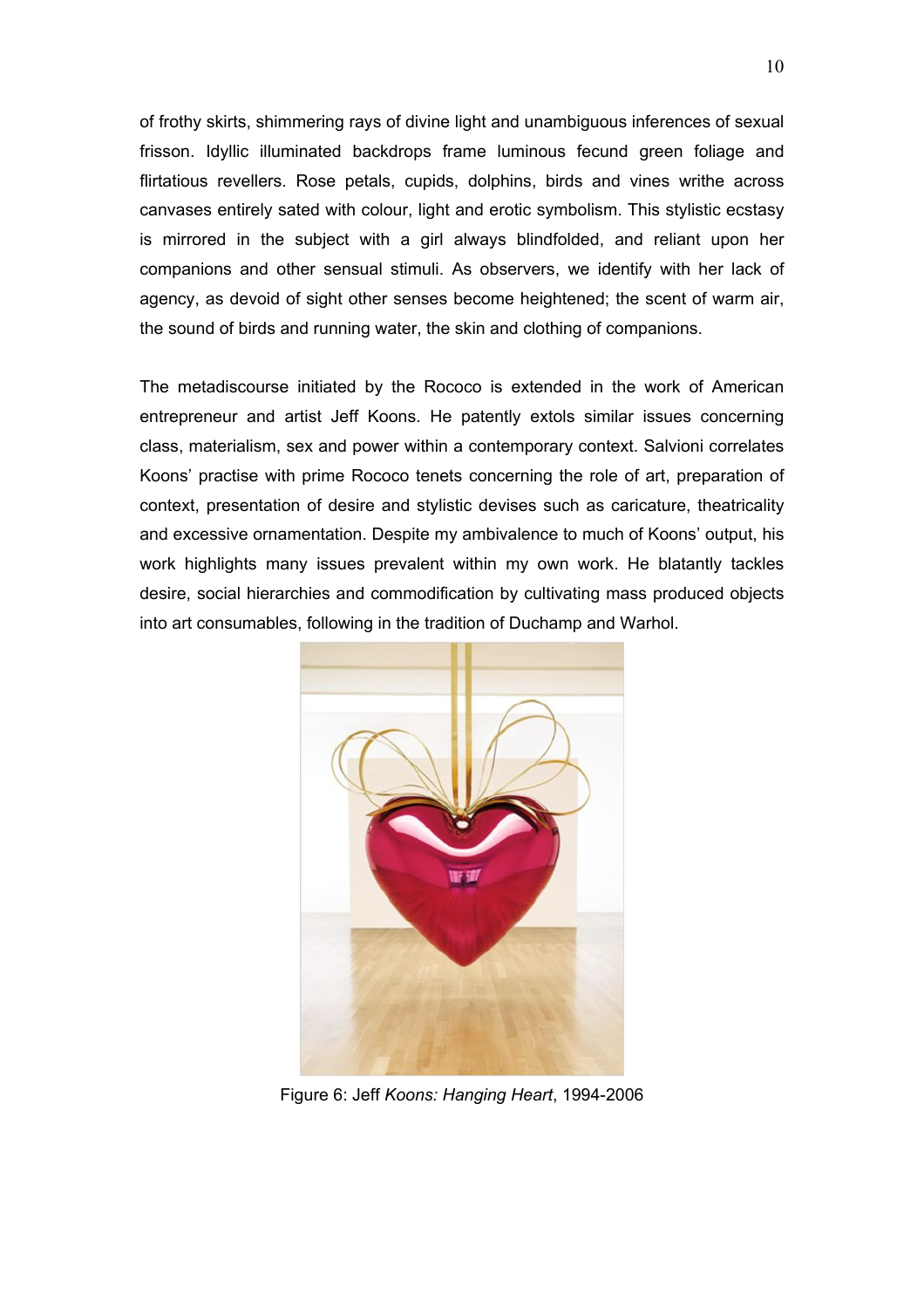of frothy skirts, shimmering rays of divine light and unambiguous inferences of sexual frisson. Idyllic illuminated backdrops frame luminous fecund green foliage and flirtatious revellers. Rose petals, cupids, dolphins, birds and vines writhe across canvases entirely sated with colour, light and erotic symbolism. This stylistic ecstasy is mirrored in the subject with a girl always blindfolded, and reliant upon her companions and other sensual stimuli. As observers, we identify with her lack of agency, as devoid of sight other senses become heightened; the scent of warm air, the sound of birds and running water, the skin and clothing of companions.

The metadiscourse initiated by the Rococo is extended in the work of American entrepreneur and artist Jeff Koons. He patently extols similar issues concerning class, materialism, sex and power within a contemporary context. Salvioni correlates Koons' practise with prime Rococo tenets concerning the role of art, preparation of context, presentation of desire and stylistic devises such as caricature, theatricality and excessive ornamentation. Despite my ambivalence to much of Koons' output, his work highlights many issues prevalent within my own work. He blatantly tackles desire, social hierarchies and commodification by cultivating mass produced objects into art consumables, following in the tradition of Duchamp and Warhol.



Figure 6: Jeff *Koons: Hanging Heart*, 1994-2006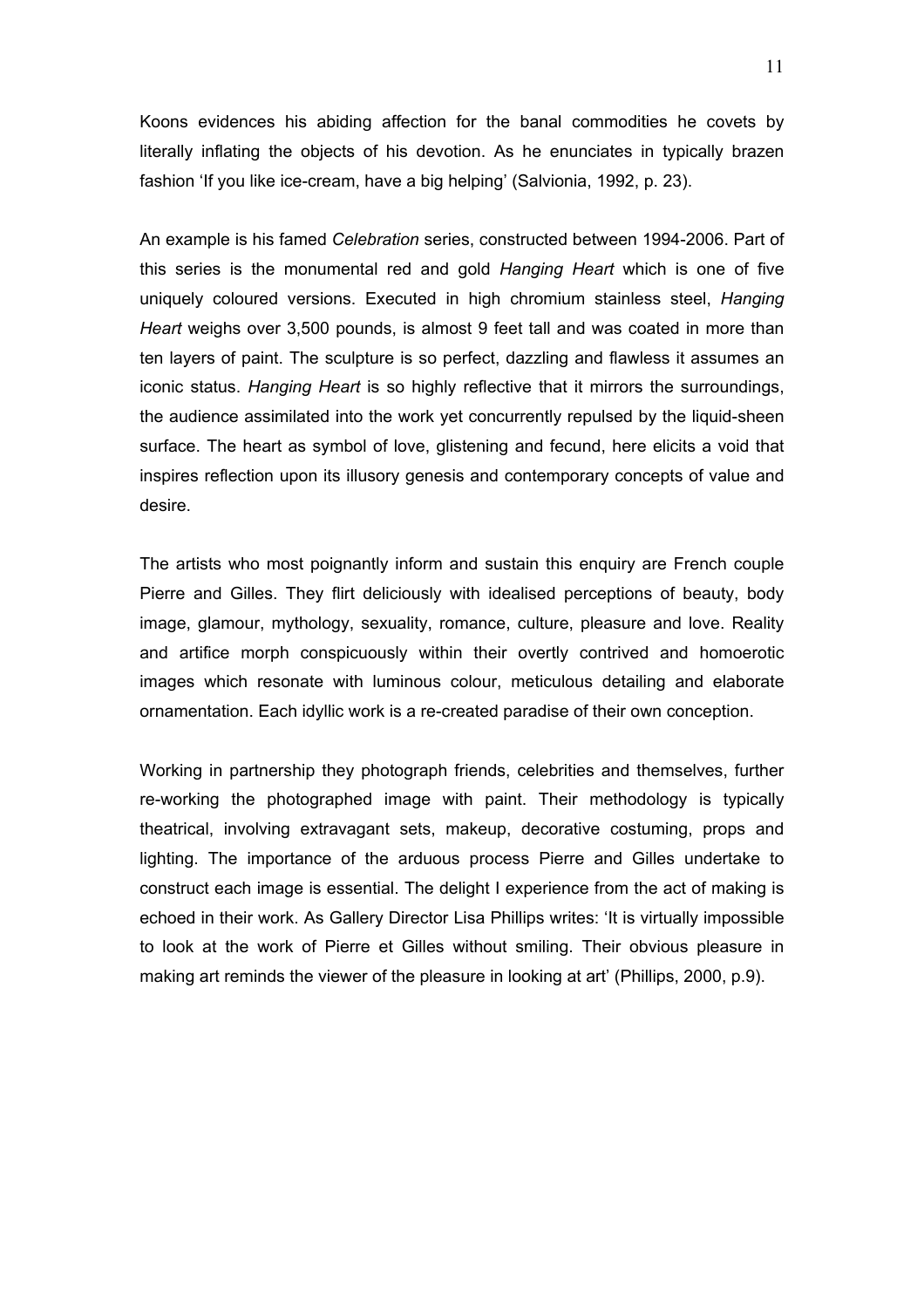Koons evidences his abiding affection for the banal commodities he covets by literally inflating the objects of his devotion. As he enunciates in typically brazen fashion 'If you like ice-cream, have a big helping' (Salvionia, 1992, p. 23).

An example is his famed *Celebration* series, constructed between 1994-2006. Part of this series is the monumental red and gold *Hanging Heart* which is one of five uniquely coloured versions. Executed in high chromium stainless steel, *Hanging Heart* weighs over 3,500 pounds, is almost 9 feet tall and was coated in more than ten layers of paint. The sculpture is so perfect, dazzling and flawless it assumes an iconic status. *Hanging Heart* is so highly reflective that it mirrors the surroundings, the audience assimilated into the work yet concurrently repulsed by the liquid-sheen surface. The heart as symbol of love, glistening and fecund, here elicits a void that inspires reflection upon its illusory genesis and contemporary concepts of value and desire.

The artists who most poignantly inform and sustain this enquiry are French couple Pierre and Gilles. They flirt deliciously with idealised perceptions of beauty, body image, glamour, mythology, sexuality, romance, culture, pleasure and love. Reality and artifice morph conspicuously within their overtly contrived and homoerotic images which resonate with luminous colour, meticulous detailing and elaborate ornamentation. Each idyllic work is a re-created paradise of their own conception.

Working in partnership they photograph friends, celebrities and themselves, further re-working the photographed image with paint. Their methodology is typically theatrical, involving extravagant sets, makeup, decorative costuming, props and lighting. The importance of the arduous process Pierre and Gilles undertake to construct each image is essential. The delight I experience from the act of making is echoed in their work. As Gallery Director Lisa Phillips writes: 'It is virtually impossible to look at the work of Pierre et Gilles without smiling. Their obvious pleasure in making art reminds the viewer of the pleasure in looking at art' (Phillips, 2000, p.9).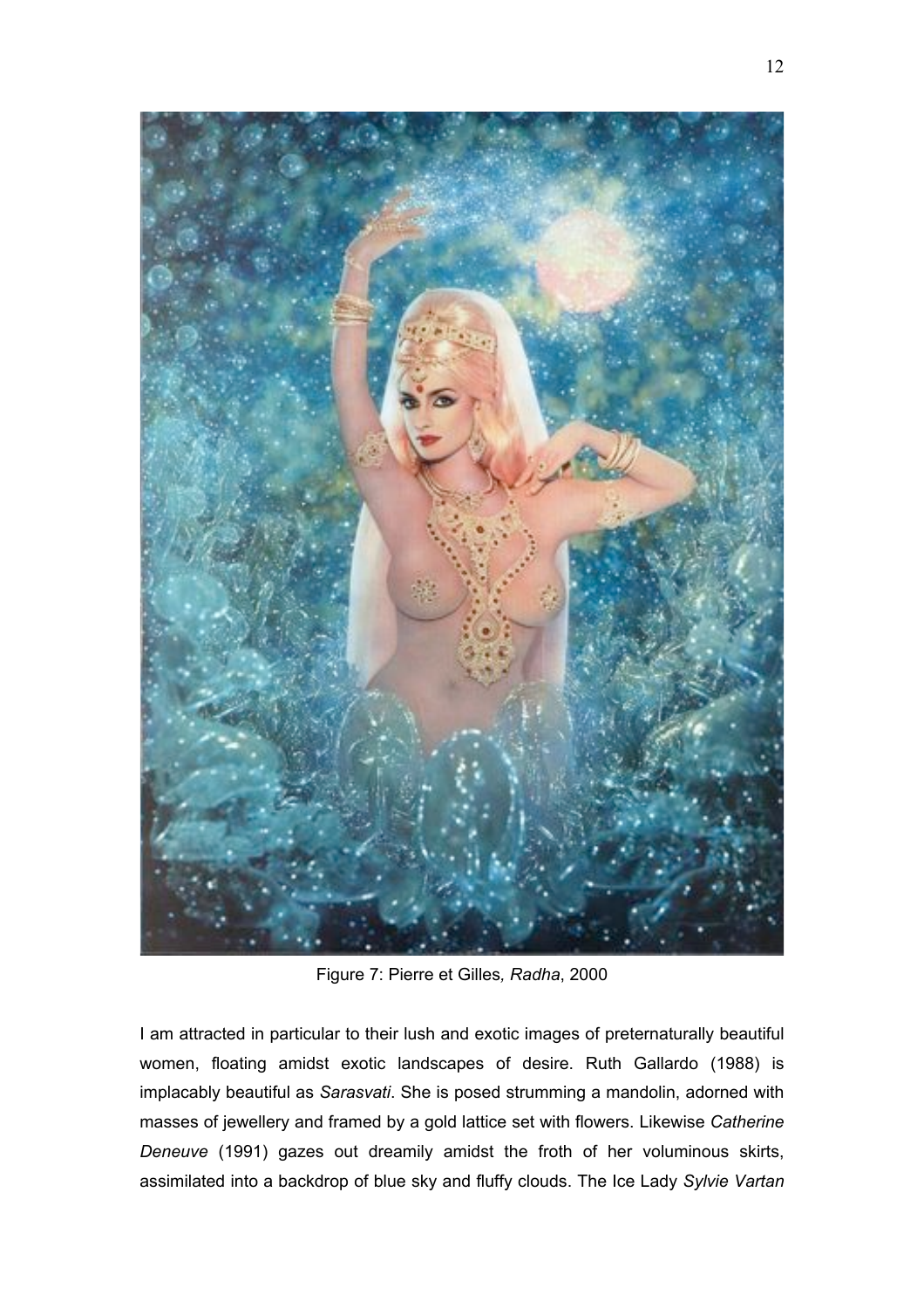

Figure 7: Pierre et Gilles*, Radha*, 2000

I am attracted in particular to their lush and exotic images of preternaturally beautiful women, floating amidst exotic landscapes of desire. Ruth Gallardo (1988) is implacably beautiful as *Sarasvati*. She is posed strumming a mandolin, adorned with masses of jewellery and framed by a gold lattice set with flowers. Likewise *Catherine Deneuve* (1991) gazes out dreamily amidst the froth of her voluminous skirts, assimilated into a backdrop of blue sky and fluffy clouds. The Ice Lady *Sylvie Vartan*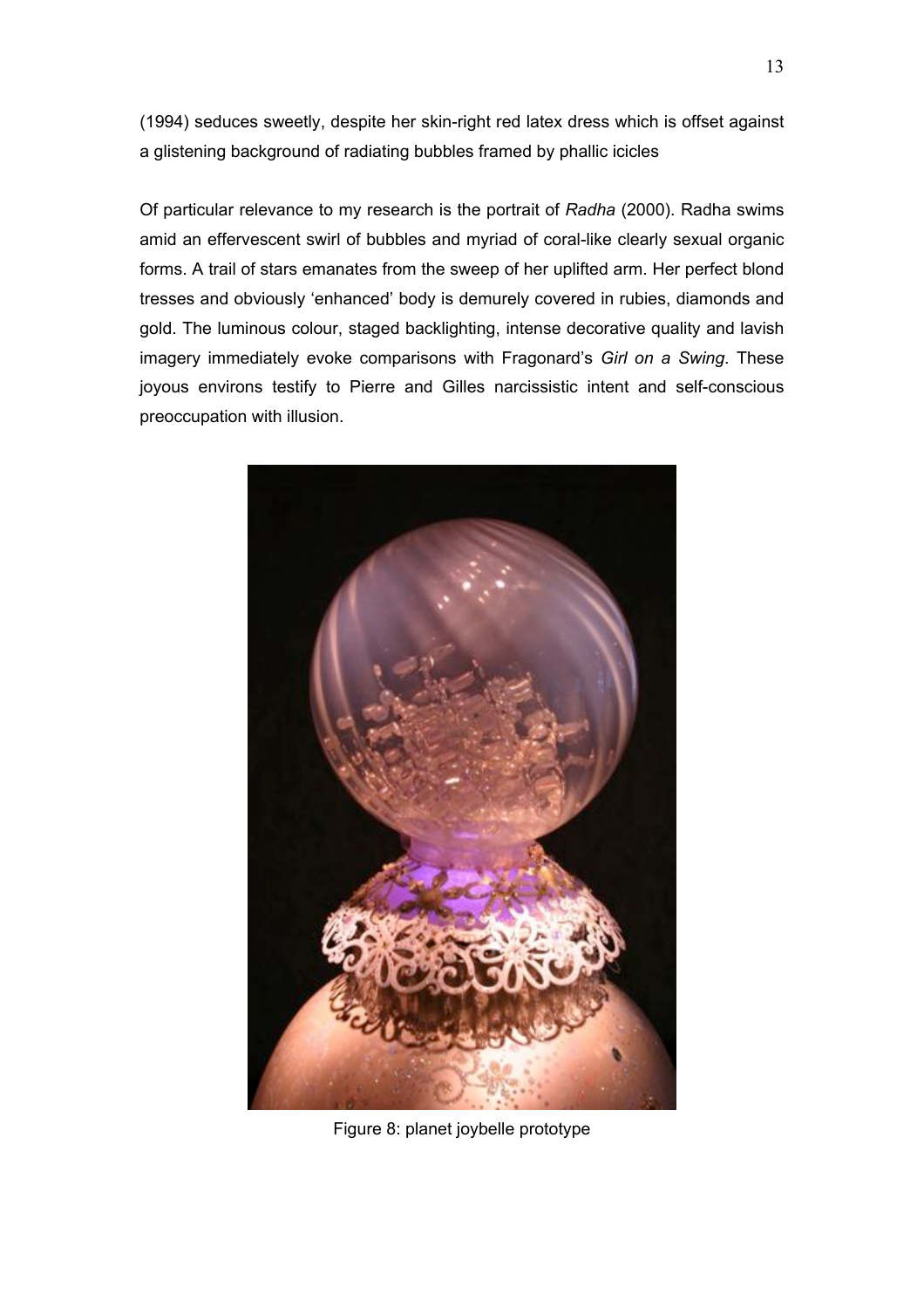(1994) seduces sweetly, despite her skin-right red latex dress which is offset against a glistening background of radiating bubbles framed by phallic icicles

Of particular relevance to my research is the portrait of *Radha* (2000). Radha swims amid an effervescent swirl of bubbles and myriad of coral-like clearly sexual organic forms. A trail of stars emanates from the sweep of her uplifted arm. Her perfect blond tresses and obviously 'enhanced' body is demurely covered in rubies, diamonds and gold. The luminous colour, staged backlighting, intense decorative quality and lavish imagery immediately evoke comparisons with Fragonard's *Girl on a Swing*. These joyous environs testify to Pierre and Gilles narcissistic intent and self-conscious preoccupation with illusion.



Figure 8: planet joybelle prototype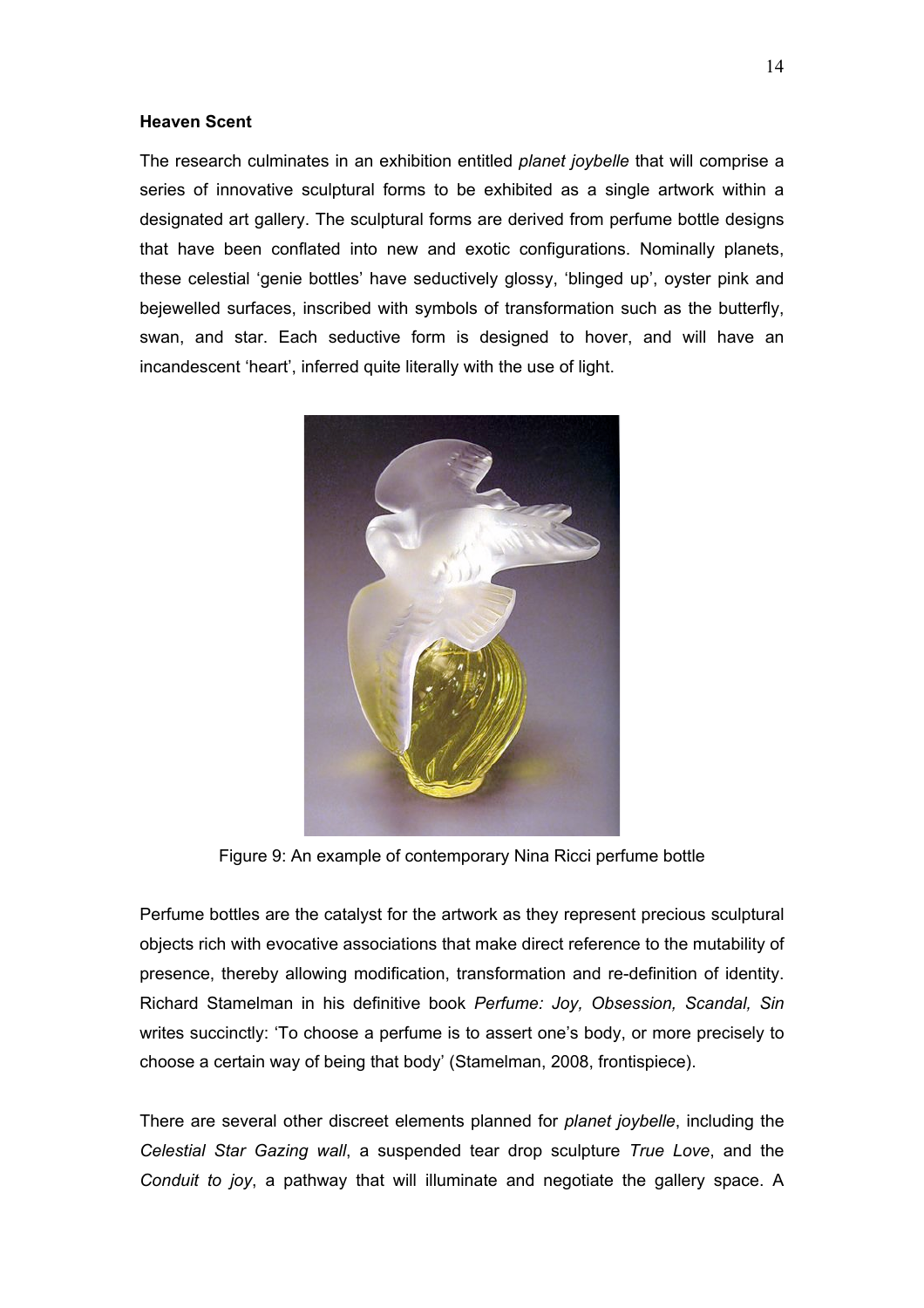#### **Heaven Scent**

The research culminates in an exhibition entitled *planet joybelle* that will comprise a series of innovative sculptural forms to be exhibited as a single artwork within a designated art gallery. The sculptural forms are derived from perfume bottle designs that have been conflated into new and exotic configurations. Nominally planets, these celestial 'genie bottles' have seductively glossy, 'blinged up', oyster pink and bejewelled surfaces, inscribed with symbols of transformation such as the butterfly, swan, and star. Each seductive form is designed to hover, and will have an incandescent 'heart', inferred quite literally with the use of light.



Figure 9: An example of contemporary Nina Ricci perfume bottle

Perfume bottles are the catalyst for the artwork as they represent precious sculptural objects rich with evocative associations that make direct reference to the mutability of presence, thereby allowing modification, transformation and re-definition of identity. Richard Stamelman in his definitive book *Perfume: Joy, Obsession, Scandal, Sin* writes succinctly: 'To choose a perfume is to assert one's body, or more precisely to choose a certain way of being that body' (Stamelman, 2008, frontispiece).

There are several other discreet elements planned for *planet joybelle*, including the *Celestial Star Gazing wall*, a suspended tear drop sculpture *True Love*, and the *Conduit to joy*, a pathway that will illuminate and negotiate the gallery space. A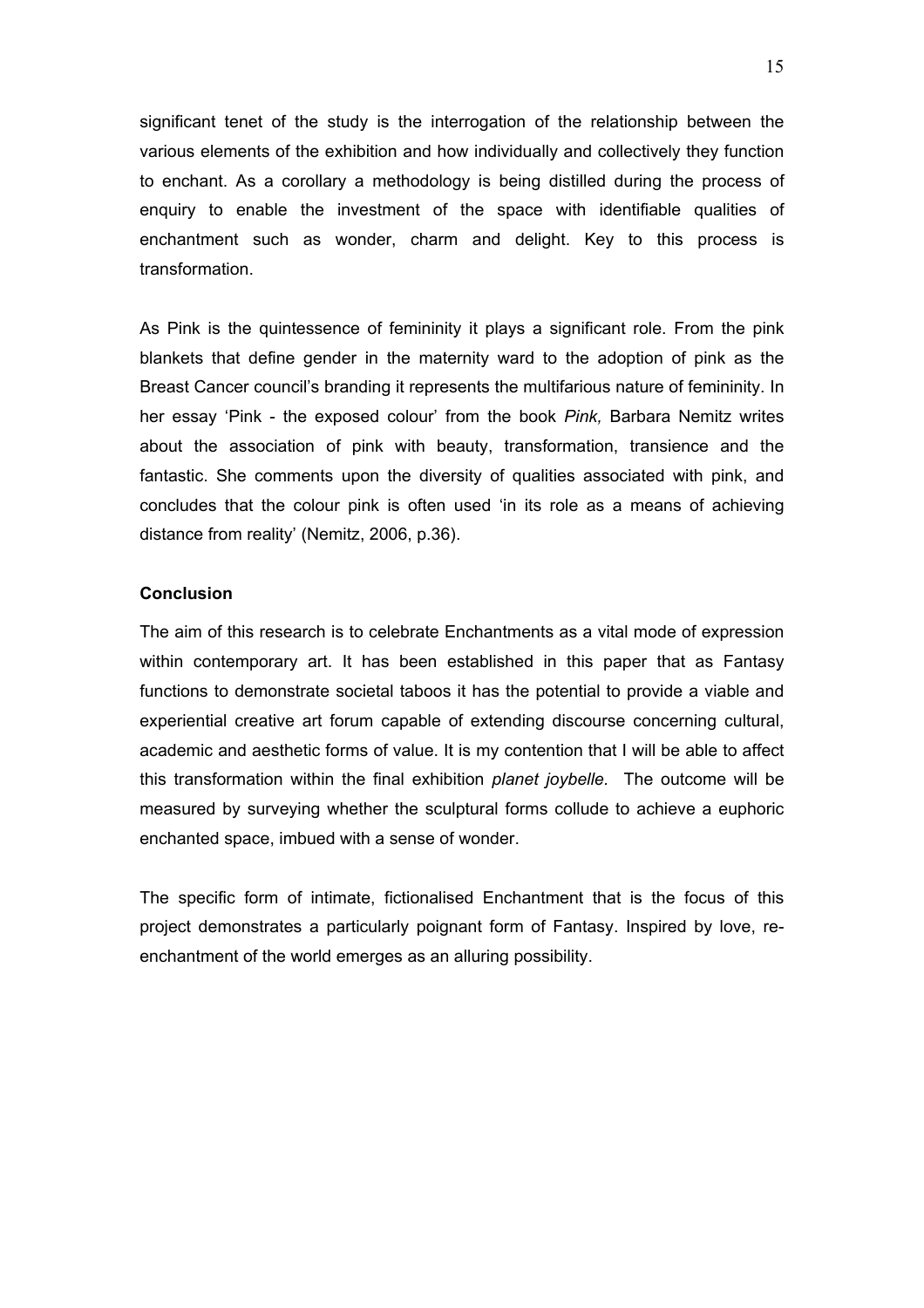significant tenet of the study is the interrogation of the relationship between the various elements of the exhibition and how individually and collectively they function to enchant. As a corollary a methodology is being distilled during the process of enquiry to enable the investment of the space with identifiable qualities of enchantment such as wonder, charm and delight. Key to this process is transformation.

As Pink is the quintessence of femininity it plays a significant role. From the pink blankets that define gender in the maternity ward to the adoption of pink as the Breast Cancer council's branding it represents the multifarious nature of femininity. In her essay 'Pink - the exposed colour' from the book *Pink,* Barbara Nemitz writes about the association of pink with beauty, transformation, transience and the fantastic. She comments upon the diversity of qualities associated with pink, and concludes that the colour pink is often used 'in its role as a means of achieving distance from reality' (Nemitz, 2006, p.36).

## **Conclusion**

The aim of this research is to celebrate Enchantments as a vital mode of expression within contemporary art. It has been established in this paper that as Fantasy functions to demonstrate societal taboos it has the potential to provide a viable and experiential creative art forum capable of extending discourse concerning cultural, academic and aesthetic forms of value. It is my contention that I will be able to affect this transformation within the final exhibition *planet joybelle.* The outcome will be measured by surveying whether the sculptural forms collude to achieve a euphoric enchanted space, imbued with a sense of wonder.

The specific form of intimate, fictionalised Enchantment that is the focus of this project demonstrates a particularly poignant form of Fantasy. Inspired by love, reenchantment of the world emerges as an alluring possibility.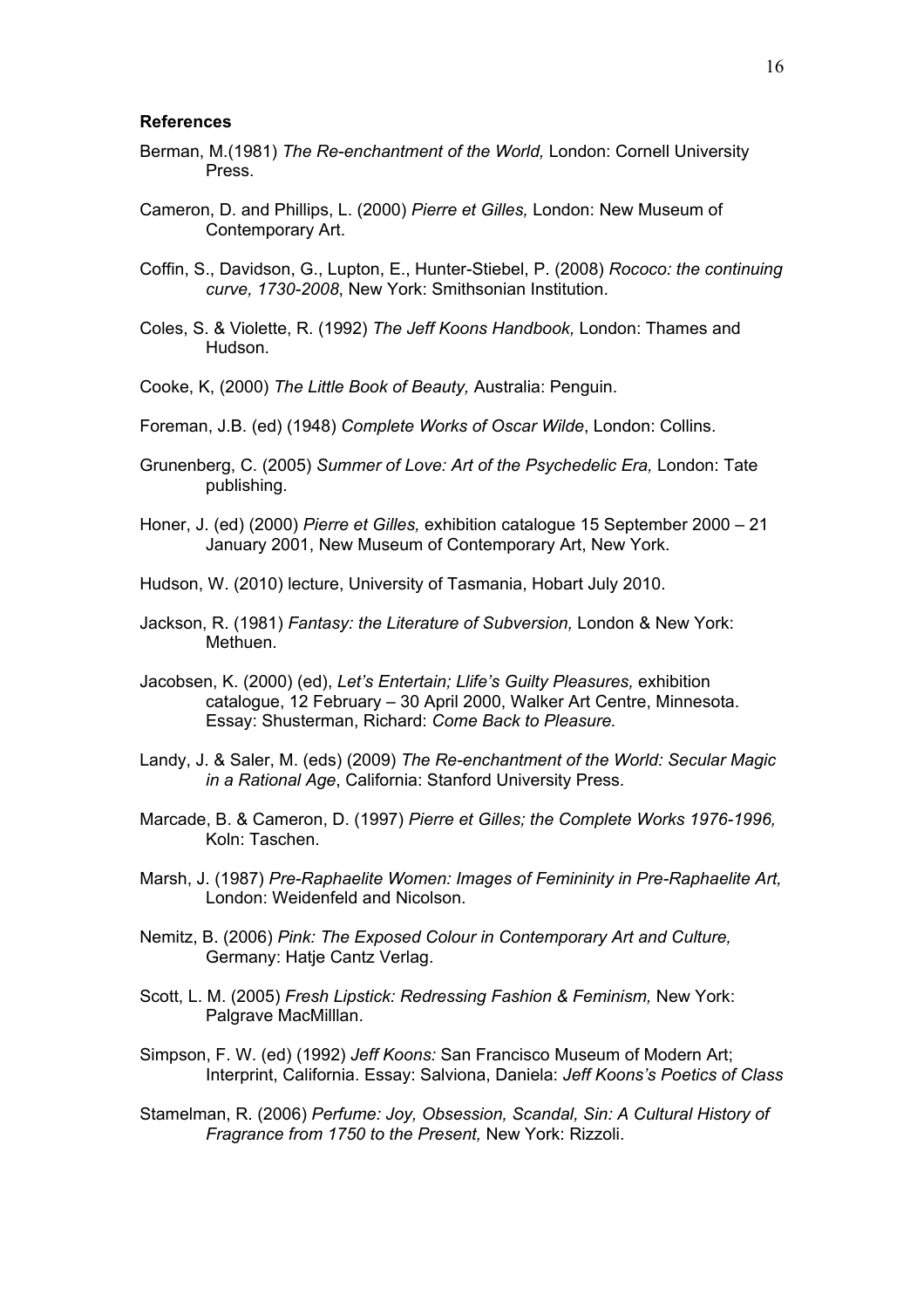#### **References**

- Berman, M.(1981) *The Re-enchantment of the World,* London: Cornell University Press.
- Cameron, D. and Phillips, L. (2000) *Pierre et Gilles,* London: New Museum of Contemporary Art.
- Coffin, S., Davidson, G., Lupton, E., Hunter-Stiebel, P. (2008) *Rococo: the continuing curve, 1730-2008*, New York: Smithsonian Institution.
- Coles, S. & Violette, R. (1992) *The Jeff Koons Handbook,* London: Thames and Hudson.
- Cooke, K, (2000) *The Little Book of Beauty,* Australia: Penguin.
- Foreman, J.B. (ed) (1948) *Complete Works of Oscar Wilde*, London: Collins.
- Grunenberg, C. (2005) *Summer of Love: Art of the Psychedelic Era,* London: Tate publishing.
- Honer, J. (ed) (2000) *Pierre et Gilles,* exhibition catalogue 15 September 2000 21 January 2001, New Museum of Contemporary Art, New York.
- Hudson, W. (2010) lecture, University of Tasmania, Hobart July 2010.
- Jackson, R. (1981) *Fantasy: the Literature of Subversion,* London & New York: Methuen.
- Jacobsen, K. (2000) (ed), *Let's Entertain; Llife's Guilty Pleasures,* exhibition catalogue, 12 February – 30 April 2000, Walker Art Centre, Minnesota. Essay: Shusterman, Richard: *Come Back to Pleasure.*
- Landy, J. & Saler, M. (eds) (2009) *The Re-enchantment of the World: Secular Magic in a Rational Age*, California: Stanford University Press.
- Marcade, B. & Cameron, D. (1997) *Pierre et Gilles; the Complete Works 1976-1996,* Koln: Taschen.
- Marsh, J. (1987) *Pre-Raphaelite Women: Images of Femininity in Pre-Raphaelite Art,* London: Weidenfeld and Nicolson.
- Nemitz, B. (2006) *Pink: The Exposed Colour in Contemporary Art and Culture,* Germany: Hatje Cantz Verlag.
- Scott, L. M. (2005) *Fresh Lipstick: Redressing Fashion & Feminism,* New York: Palgrave MacMilllan.
- Simpson, F. W. (ed) (1992) *Jeff Koons:* San Francisco Museum of Modern Art; Interprint, California. Essay: Salviona, Daniela: *Jeff Koons's Poetics of Class*
- Stamelman, R. (2006) *Perfume: Joy, Obsession, Scandal, Sin: A Cultural History of Fragrance from 1750 to the Present,* New York: Rizzoli.